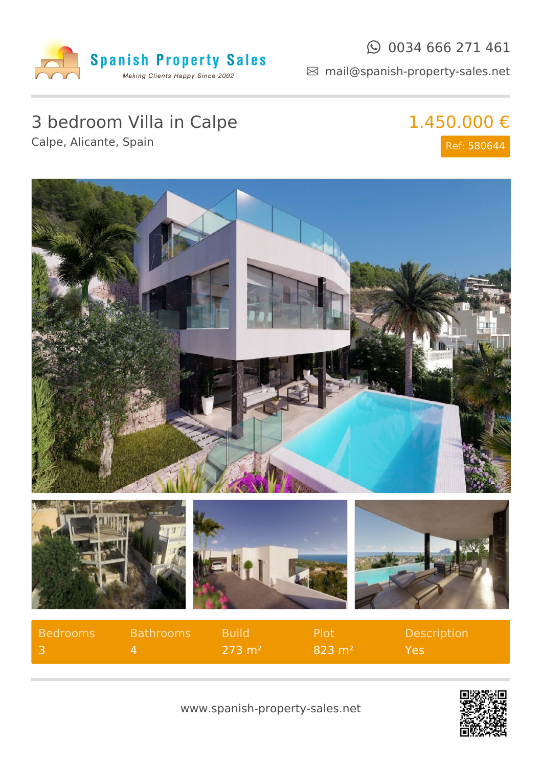

### $\odot$  0034 666 271 461

mail@spanish-property-sales.net

# 3 bedroom Villa in Calpe

Calpe, Alicante, Spain

# 1.450.000 €

Ref: 580644



| Bedrooms | <b>Bathrooms</b> | <b>Build</b>      | . Plot'           | <b>Description</b> |
|----------|------------------|-------------------|-------------------|--------------------|
|          |                  | $273 \text{ m}^2$ | $823 \text{ m}^2$ | Yes                |



www.spanish-property-sales.net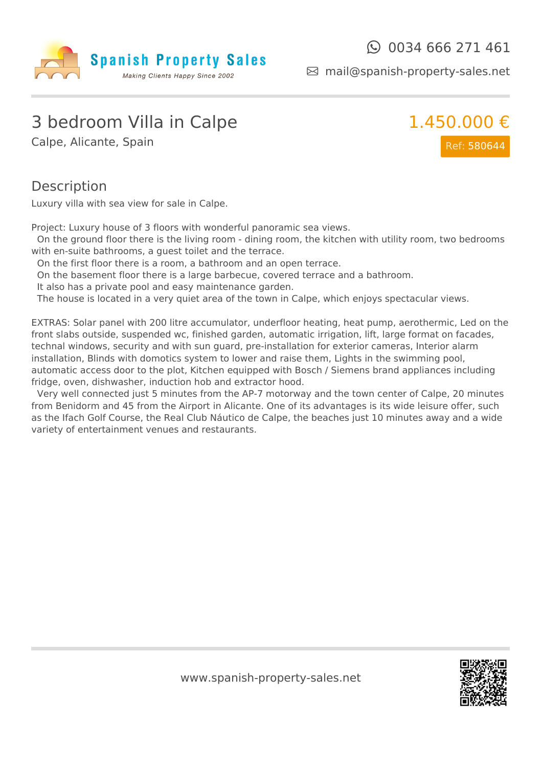

mail@spanish-property-sales.net

### 3 bedroom Villa in Calpe

Calpe, Alicante, Spain



#### **Description**

Luxury villa with sea view for sale in Calpe.

Project: Luxury house of 3 floors with wonderful panoramic sea views.

On the ground floor there is the living room - dining room, the kitchen with utility room, two bedrooms with en-suite bathrooms, a guest toilet and the terrace.

On the first floor there is a room, a bathroom and an open terrace.

On the basement floor there is a large barbecue, covered terrace and a bathroom.

It also has a private pool and easy maintenance garden.

The house is located in a very quiet area of the town in Calpe, which enjoys spectacular views.

EXTRAS: Solar panel with 200 litre accumulator, underfloor heating, heat pump, aerothermic, Led on the front slabs outside, suspended wc, finished garden, automatic irrigation, lift, large format on facades, technal windows, security and with sun guard, pre-installation for exterior cameras, Interior alarm installation, Blinds with domotics system to lower and raise them, Lights in the swimming pool, automatic access door to the plot, Kitchen equipped with Bosch / Siemens brand appliances including fridge, oven, dishwasher, induction hob and extractor hood.

Very well connected just 5 minutes from the AP-7 motorway and the town center of Calpe, 20 minutes from Benidorm and 45 from the Airport in Alicante. One of its advantages is its wide leisure offer, such as the Ifach Golf Course, the Real Club Náutico de Calpe, the beaches just 10 minutes away and a wide variety of entertainment venues and restaurants.